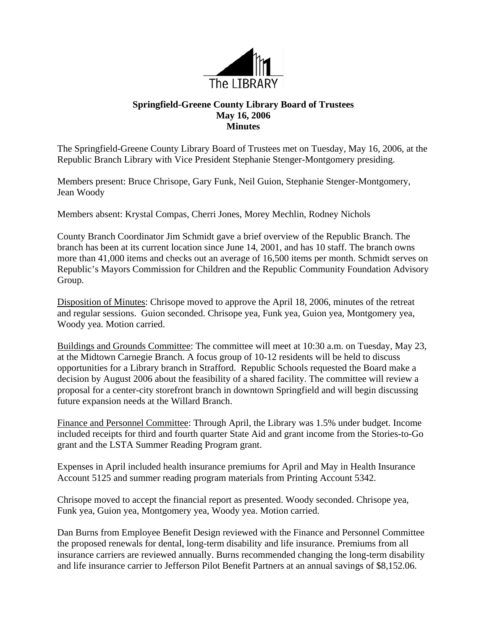

## **Springfield-Greene County Library Board of Trustees May 16, 2006 Minutes**

The Springfield-Greene County Library Board of Trustees met on Tuesday, May 16, 2006, at the Republic Branch Library with Vice President Stephanie Stenger-Montgomery presiding.

Members present: Bruce Chrisope, Gary Funk, Neil Guion, Stephanie Stenger-Montgomery, Jean Woody

Members absent: Krystal Compas, Cherri Jones, Morey Mechlin, Rodney Nichols

County Branch Coordinator Jim Schmidt gave a brief overview of the Republic Branch. The branch has been at its current location since June 14, 2001, and has 10 staff. The branch owns more than 41,000 items and checks out an average of 16,500 items per month. Schmidt serves on Republic's Mayors Commission for Children and the Republic Community Foundation Advisory Group.

Disposition of Minutes: Chrisope moved to approve the April 18, 2006, minutes of the retreat and regular sessions. Guion seconded. Chrisope yea, Funk yea, Guion yea, Montgomery yea, Woody yea. Motion carried.

Buildings and Grounds Committee: The committee will meet at 10:30 a.m. on Tuesday, May 23, at the Midtown Carnegie Branch. A focus group of 10-12 residents will be held to discuss opportunities for a Library branch in Strafford. Republic Schools requested the Board make a decision by August 2006 about the feasibility of a shared facility. The committee will review a proposal for a center-city storefront branch in downtown Springfield and will begin discussing future expansion needs at the Willard Branch.

Finance and Personnel Committee: Through April, the Library was 1.5% under budget. Income included receipts for third and fourth quarter State Aid and grant income from the Stories-to-Go grant and the LSTA Summer Reading Program grant.

Expenses in April included health insurance premiums for April and May in Health Insurance Account 5125 and summer reading program materials from Printing Account 5342.

Chrisope moved to accept the financial report as presented. Woody seconded. Chrisope yea, Funk yea, Guion yea, Montgomery yea, Woody yea. Motion carried.

Dan Burns from Employee Benefit Design reviewed with the Finance and Personnel Committee the proposed renewals for dental, long-term disability and life insurance. Premiums from all insurance carriers are reviewed annually. Burns recommended changing the long-term disability and life insurance carrier to Jefferson Pilot Benefit Partners at an annual savings of \$8,152.06.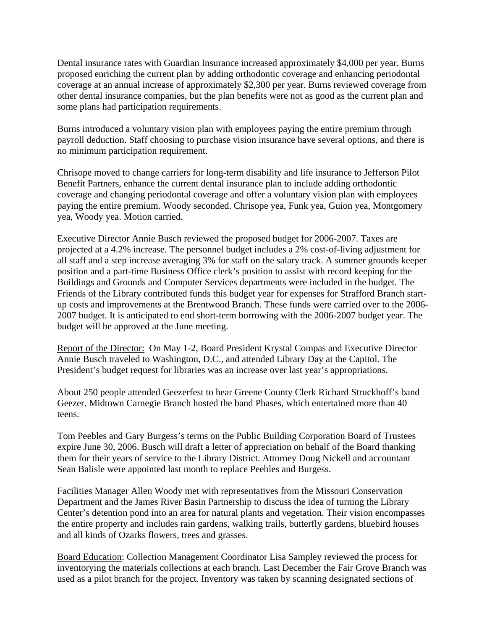Dental insurance rates with Guardian Insurance increased approximately \$4,000 per year. Burns proposed enriching the current plan by adding orthodontic coverage and enhancing periodontal coverage at an annual increase of approximately \$2,300 per year. Burns reviewed coverage from other dental insurance companies, but the plan benefits were not as good as the current plan and some plans had participation requirements.

Burns introduced a voluntary vision plan with employees paying the entire premium through payroll deduction. Staff choosing to purchase vision insurance have several options, and there is no minimum participation requirement.

Chrisope moved to change carriers for long-term disability and life insurance to Jefferson Pilot Benefit Partners, enhance the current dental insurance plan to include adding orthodontic coverage and changing periodontal coverage and offer a voluntary vision plan with employees paying the entire premium. Woody seconded. Chrisope yea, Funk yea, Guion yea, Montgomery yea, Woody yea. Motion carried.

Executive Director Annie Busch reviewed the proposed budget for 2006-2007. Taxes are projected at a 4.2% increase. The personnel budget includes a 2% cost-of-living adjustment for all staff and a step increase averaging 3% for staff on the salary track. A summer grounds keeper position and a part-time Business Office clerk's position to assist with record keeping for the Buildings and Grounds and Computer Services departments were included in the budget. The Friends of the Library contributed funds this budget year for expenses for Strafford Branch startup costs and improvements at the Brentwood Branch. These funds were carried over to the 2006- 2007 budget. It is anticipated to end short-term borrowing with the 2006-2007 budget year. The budget will be approved at the June meeting.

Report of the Director: On May 1-2, Board President Krystal Compas and Executive Director Annie Busch traveled to Washington, D.C., and attended Library Day at the Capitol. The President's budget request for libraries was an increase over last year's appropriations.

About 250 people attended Geezerfest to hear Greene County Clerk Richard Struckhoff's band Geezer. Midtown Carnegie Branch hosted the band Phases, which entertained more than 40 teens.

Tom Peebles and Gary Burgess's terms on the Public Building Corporation Board of Trustees expire June 30, 2006. Busch will draft a letter of appreciation on behalf of the Board thanking them for their years of service to the Library District. Attorney Doug Nickell and accountant Sean Balisle were appointed last month to replace Peebles and Burgess.

Facilities Manager Allen Woody met with representatives from the Missouri Conservation Department and the James River Basin Partnership to discuss the idea of turning the Library Center's detention pond into an area for natural plants and vegetation. Their vision encompasses the entire property and includes rain gardens, walking trails, butterfly gardens, bluebird houses and all kinds of Ozarks flowers, trees and grasses.

Board Education: Collection Management Coordinator Lisa Sampley reviewed the process for inventorying the materials collections at each branch. Last December the Fair Grove Branch was used as a pilot branch for the project. Inventory was taken by scanning designated sections of